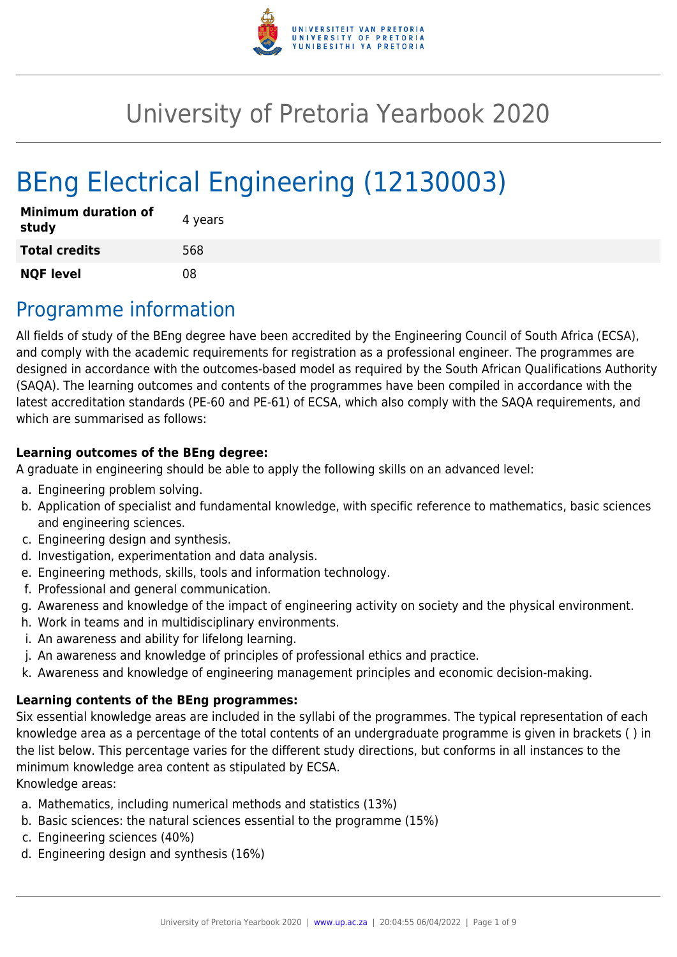

# University of Pretoria Yearbook 2020

# BEng Electrical Engineering (12130003)

| <b>Minimum duration of</b><br>study | 4 years |
|-------------------------------------|---------|
| <b>Total credits</b>                | 568     |
| <b>NQF level</b>                    | 08      |

# Programme information

All fields of study of the BEng degree have been accredited by the Engineering Council of South Africa (ECSA), and comply with the academic requirements for registration as a professional engineer. The programmes are designed in accordance with the outcomes-based model as required by the South African Qualifications Authority (SAQA). The learning outcomes and contents of the programmes have been compiled in accordance with the latest accreditation standards (PE-60 and PE-61) of ECSA, which also comply with the SAQA requirements, and which are summarised as follows:

### **Learning outcomes of the BEng degree:**

A graduate in engineering should be able to apply the following skills on an advanced level:

- a. Engineering problem solving.
- b. Application of specialist and fundamental knowledge, with specific reference to mathematics, basic sciences and engineering sciences.
- c. Engineering design and synthesis.
- d. Investigation, experimentation and data analysis.
- e. Engineering methods, skills, tools and information technology.
- f. Professional and general communication.
- g. Awareness and knowledge of the impact of engineering activity on society and the physical environment.
- h. Work in teams and in multidisciplinary environments.
- i. An awareness and ability for lifelong learning.
- j. An awareness and knowledge of principles of professional ethics and practice.
- k. Awareness and knowledge of engineering management principles and economic decision-making.

#### **Learning contents of the BEng programmes:**

Six essential knowledge areas are included in the syllabi of the programmes. The typical representation of each knowledge area as a percentage of the total contents of an undergraduate programme is given in brackets ( ) in the list below. This percentage varies for the different study directions, but conforms in all instances to the minimum knowledge area content as stipulated by ECSA.

Knowledge areas:

- a. Mathematics, including numerical methods and statistics (13%)
- b. Basic sciences: the natural sciences essential to the programme (15%)
- c. Engineering sciences (40%)
- d. Engineering design and synthesis (16%)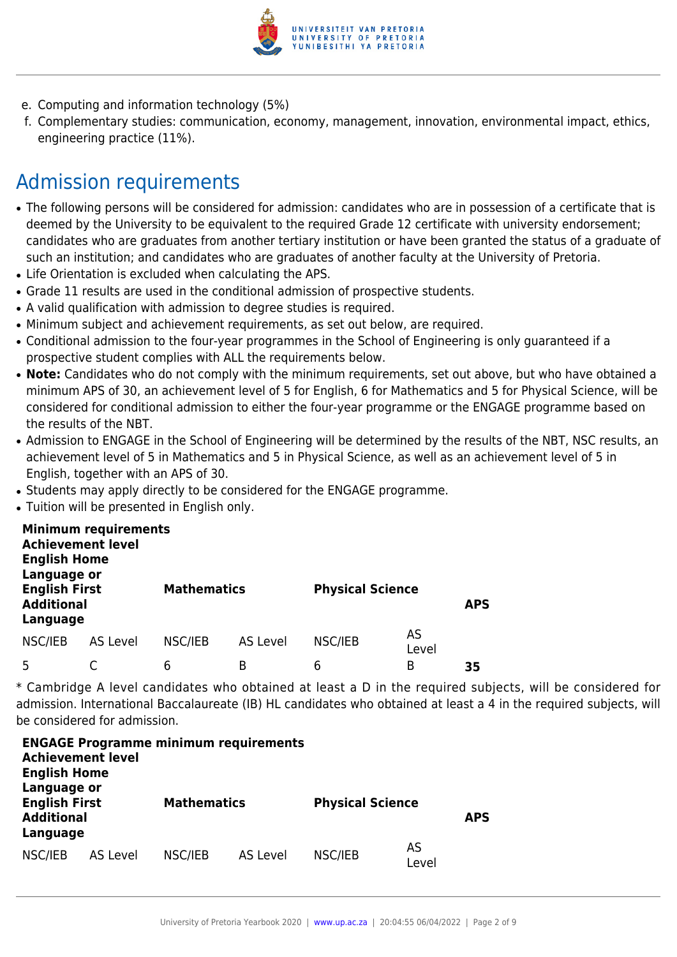

- e. Computing and information technology (5%)
- f. Complementary studies: communication, economy, management, innovation, environmental impact, ethics, engineering practice (11%).

# Admission requirements

- The following persons will be considered for admission: candidates who are in possession of a certificate that is deemed by the University to be equivalent to the required Grade 12 certificate with university endorsement; candidates who are graduates from another tertiary institution or have been granted the status of a graduate of such an institution; and candidates who are graduates of another faculty at the University of Pretoria.
- Life Orientation is excluded when calculating the APS.
- Grade 11 results are used in the conditional admission of prospective students.
- A valid qualification with admission to degree studies is required.
- Minimum subject and achievement requirements, as set out below, are required.
- Conditional admission to the four-year programmes in the School of Engineering is only guaranteed if a prospective student complies with ALL the requirements below.
- Note: Candidates who do not comply with the minimum requirements, set out above, but who have obtained a minimum APS of 30, an achievement level of 5 for English, 6 for Mathematics and 5 for Physical Science, will be considered for conditional admission to either the four-year programme or the ENGAGE programme based on the results of the NBT.
- Admission to ENGAGE in the School of Engineering will be determined by the results of the NBT, NSC results, an achievement level of 5 in Mathematics and 5 in Physical Science, as well as an achievement level of 5 in English, together with an APS of 30.
- Students may apply directly to be considered for the ENGAGE programme.
- Tuition will be presented in English only.

| <b>Achievement level</b><br><b>English Home</b><br>Language or | <b>Minimum requirements</b> |         |                    |         |                         |    |
|----------------------------------------------------------------|-----------------------------|---------|--------------------|---------|-------------------------|----|
| <b>English First</b><br><b>Additional</b><br>Language          |                             |         | <b>Mathematics</b> |         | <b>Physical Science</b> |    |
| NSC/IEB                                                        | AS Level                    | NSC/IEB | AS Level           | NSC/IEB | AS<br>Level             |    |
| 5                                                              |                             | 6       | B                  | 6       | В                       | 35 |

\* Cambridge A level candidates who obtained at least a D in the required subjects, will be considered for admission. International Baccalaureate (IB) HL candidates who obtained at least a 4 in the required subjects, will be considered for admission.

| <b>Achievement level</b><br><b>English Home</b>                      |          | <b>ENGAGE Programme minimum requirements</b> |          |                         |             |            |
|----------------------------------------------------------------------|----------|----------------------------------------------|----------|-------------------------|-------------|------------|
| Language or<br><b>English First</b><br><b>Additional</b><br>Language |          | <b>Mathematics</b>                           |          | <b>Physical Science</b> |             | <b>APS</b> |
| NSC/IEB                                                              | AS Level | NSC/IEB                                      | AS Level | NSC/IEB                 | AS<br>Level |            |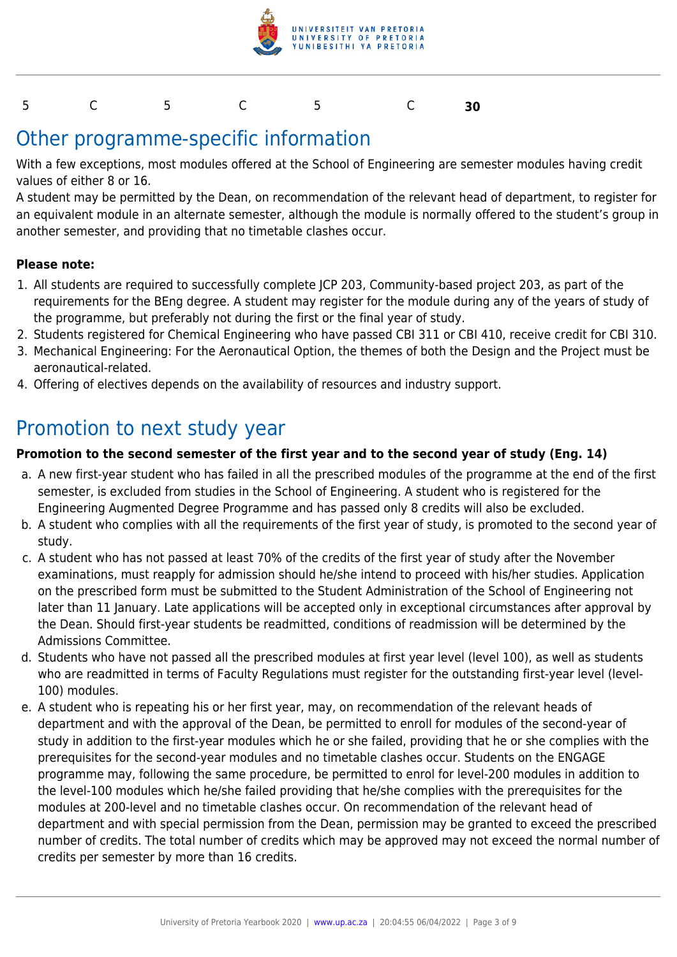

#### 5 C 5 C 5 C **30**

## Other programme-specific information

With a few exceptions, most modules offered at the School of Engineering are semester modules having credit values of either 8 or 16.

A student may be permitted by the Dean, on recommendation of the relevant head of department, to register for an equivalent module in an alternate semester, although the module is normally offered to the student's group in another semester, and providing that no timetable clashes occur.

#### **Please note:**

- 1. All students are required to successfully complete JCP 203, Community-based project 203, as part of the requirements for the BEng degree. A student may register for the module during any of the years of study of the programme, but preferably not during the first or the final year of study.
- 2. Students registered for Chemical Engineering who have passed CBI 311 or CBI 410, receive credit for CBI 310.
- 3. Mechanical Engineering: For the Aeronautical Option, the themes of both the Design and the Project must be aeronautical-related.
- 4. Offering of electives depends on the availability of resources and industry support.

### Promotion to next study year

#### **Promotion to the second semester of the first year and to the second year of study (Eng. 14)**

- a. A new first-year student who has failed in all the prescribed modules of the programme at the end of the first semester, is excluded from studies in the School of Engineering. A student who is registered for the Engineering Augmented Degree Programme and has passed only 8 credits will also be excluded.
- b. A student who complies with all the requirements of the first year of study, is promoted to the second year of study.
- c. A student who has not passed at least 70% of the credits of the first year of study after the November examinations, must reapply for admission should he/she intend to proceed with his/her studies. Application on the prescribed form must be submitted to the Student Administration of the School of Engineering not later than 11 January. Late applications will be accepted only in exceptional circumstances after approval by the Dean. Should first-year students be readmitted, conditions of readmission will be determined by the Admissions Committee.
- d. Students who have not passed all the prescribed modules at first year level (level 100), as well as students who are readmitted in terms of Faculty Regulations must register for the outstanding first-year level (level-100) modules.
- e. A student who is repeating his or her first year, may, on recommendation of the relevant heads of department and with the approval of the Dean, be permitted to enroll for modules of the second-year of study in addition to the first-year modules which he or she failed, providing that he or she complies with the prerequisites for the second-year modules and no timetable clashes occur. Students on the ENGAGE programme may, following the same procedure, be permitted to enrol for level-200 modules in addition to the level-100 modules which he/she failed providing that he/she complies with the prerequisites for the modules at 200-level and no timetable clashes occur. On recommendation of the relevant head of department and with special permission from the Dean, permission may be granted to exceed the prescribed number of credits. The total number of credits which may be approved may not exceed the normal number of credits per semester by more than 16 credits.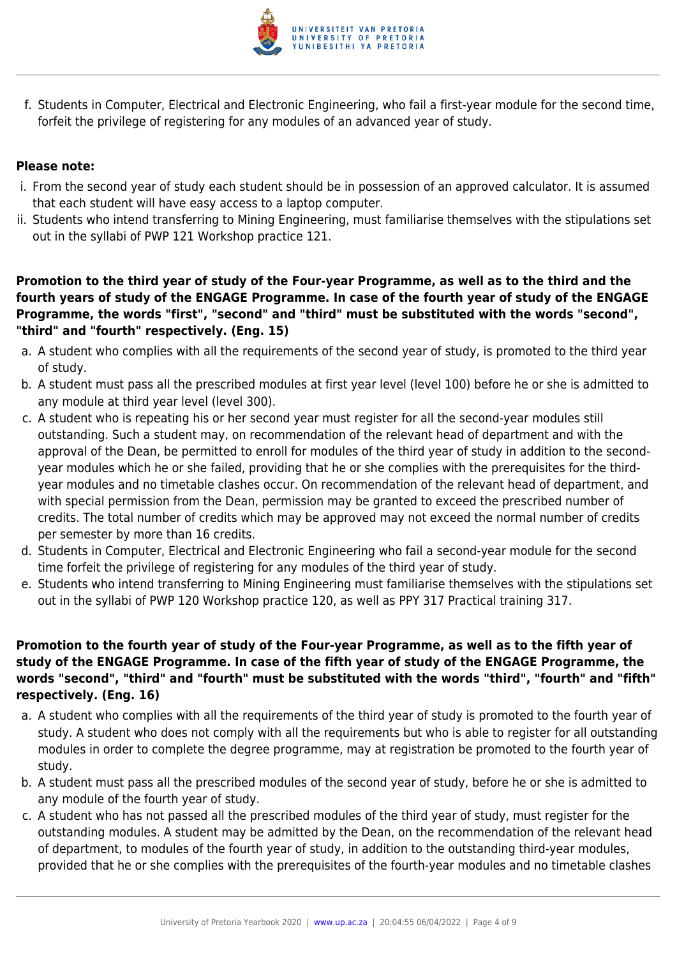

f. Students in Computer, Electrical and Electronic Engineering, who fail a first-year module for the second time, forfeit the privilege of registering for any modules of an advanced year of study.

### **Please note:**

- i. From the second year of study each student should be in possession of an approved calculator. It is assumed that each student will have easy access to a laptop computer.
- ii. Students who intend transferring to Mining Engineering, must familiarise themselves with the stipulations set out in the syllabi of PWP 121 Workshop practice 121.

**Promotion to the third year of study of the Four-year Programme, as well as to the third and the fourth years of study of the ENGAGE Programme. In case of the fourth year of study of the ENGAGE Programme, the words "first", "second" and "third" must be substituted with the words "second", "third" and "fourth" respectively. (Eng. 15)**

- a. A student who complies with all the requirements of the second year of study, is promoted to the third year of study.
- b. A student must pass all the prescribed modules at first year level (level 100) before he or she is admitted to any module at third year level (level 300).
- c. A student who is repeating his or her second year must register for all the second-year modules still outstanding. Such a student may, on recommendation of the relevant head of department and with the approval of the Dean, be permitted to enroll for modules of the third year of study in addition to the secondyear modules which he or she failed, providing that he or she complies with the prerequisites for the thirdyear modules and no timetable clashes occur. On recommendation of the relevant head of department, and with special permission from the Dean, permission may be granted to exceed the prescribed number of credits. The total number of credits which may be approved may not exceed the normal number of credits per semester by more than 16 credits.
- d. Students in Computer, Electrical and Electronic Engineering who fail a second-year module for the second time forfeit the privilege of registering for any modules of the third year of study.
- e. Students who intend transferring to Mining Engineering must familiarise themselves with the stipulations set out in the syllabi of PWP 120 Workshop practice 120, as well as PPY 317 Practical training 317.

### **Promotion to the fourth year of study of the Four-year Programme, as well as to the fifth year of study of the ENGAGE Programme. In case of the fifth year of study of the ENGAGE Programme, the words "second", "third" and "fourth" must be substituted with the words "third", "fourth" and "fifth" respectively. (Eng. 16)**

- a. A student who complies with all the requirements of the third year of study is promoted to the fourth year of study. A student who does not comply with all the requirements but who is able to register for all outstanding modules in order to complete the degree programme, may at registration be promoted to the fourth year of study.
- b. A student must pass all the prescribed modules of the second year of study, before he or she is admitted to any module of the fourth year of study.
- c. A student who has not passed all the prescribed modules of the third year of study, must register for the outstanding modules. A student may be admitted by the Dean, on the recommendation of the relevant head of department, to modules of the fourth year of study, in addition to the outstanding third-year modules, provided that he or she complies with the prerequisites of the fourth-year modules and no timetable clashes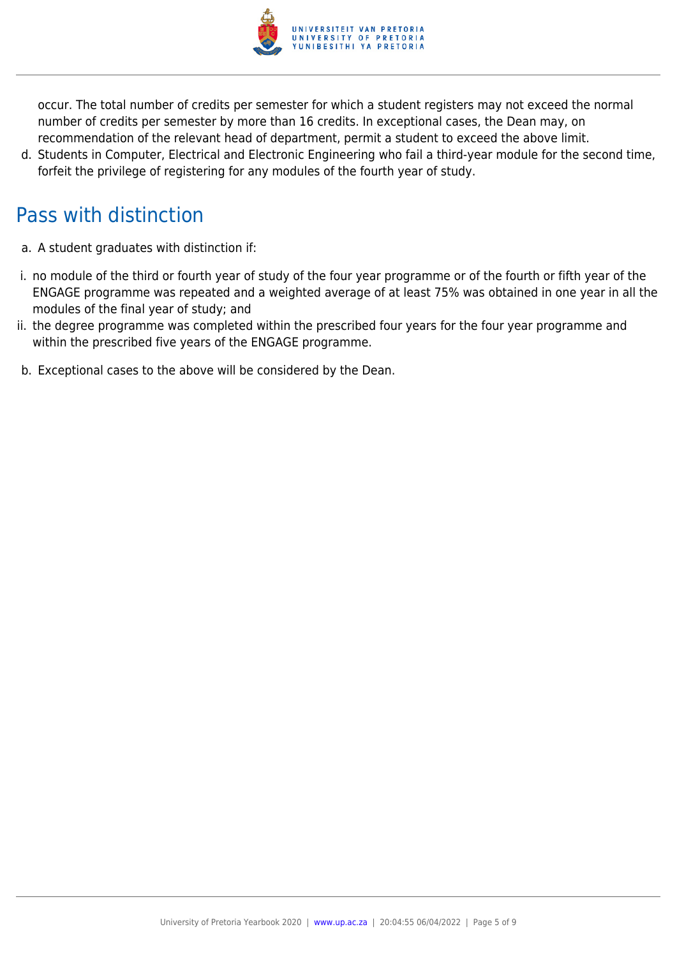

occur. The total number of credits per semester for which a student registers may not exceed the normal number of credits per semester by more than 16 credits. In exceptional cases, the Dean may, on recommendation of the relevant head of department, permit a student to exceed the above limit.

d. Students in Computer, Electrical and Electronic Engineering who fail a third-year module for the second time, forfeit the privilege of registering for any modules of the fourth year of study.

# Pass with distinction

- a. A student graduates with distinction if:
- i. no module of the third or fourth year of study of the four year programme or of the fourth or fifth year of the ENGAGE programme was repeated and a weighted average of at least 75% was obtained in one year in all the modules of the final year of study; and
- ii. the degree programme was completed within the prescribed four years for the four year programme and within the prescribed five years of the ENGAGE programme.
- b. Exceptional cases to the above will be considered by the Dean.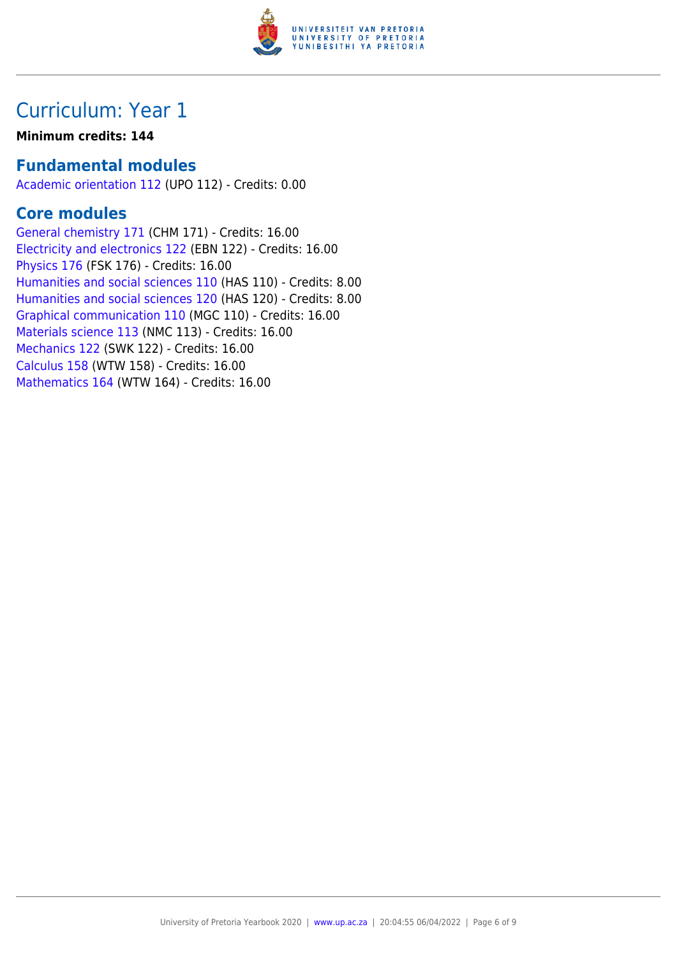

## Curriculum: Year 1

### **Minimum credits: 144**

### **Fundamental modules**

[Academic orientation 112](https://www.up.ac.za/faculty-of-education/yearbooks/2020/modules/view/UPO 112) (UPO 112) - Credits: 0.00

### **Core modules**

[General chemistry 171](https://www.up.ac.za/faculty-of-education/yearbooks/2020/modules/view/CHM 171) (CHM 171) - Credits: 16.00 [Electricity and electronics 122](https://www.up.ac.za/faculty-of-education/yearbooks/2020/modules/view/EBN 122) (EBN 122) - Credits: 16.00 [Physics 176](https://www.up.ac.za/faculty-of-education/yearbooks/2020/modules/view/FSK 176) (FSK 176) - Credits: 16.00 [Humanities and social sciences 110](https://www.up.ac.za/faculty-of-education/yearbooks/2020/modules/view/HAS 110) (HAS 110) - Credits: 8.00 [Humanities and social sciences 120](https://www.up.ac.za/faculty-of-education/yearbooks/2020/modules/view/HAS 120) (HAS 120) - Credits: 8.00 [Graphical communication 110](https://www.up.ac.za/faculty-of-education/yearbooks/2020/modules/view/MGC 110) (MGC 110) - Credits: 16.00 [Materials science 113](https://www.up.ac.za/faculty-of-education/yearbooks/2020/modules/view/NMC 113) (NMC 113) - Credits: 16.00 [Mechanics 122](https://www.up.ac.za/faculty-of-education/yearbooks/2020/modules/view/SWK 122) (SWK 122) - Credits: 16.00 [Calculus 158](https://www.up.ac.za/faculty-of-education/yearbooks/2020/modules/view/WTW 158) (WTW 158) - Credits: 16.00 [Mathematics 164](https://www.up.ac.za/faculty-of-education/yearbooks/2020/modules/view/WTW 164) (WTW 164) - Credits: 16.00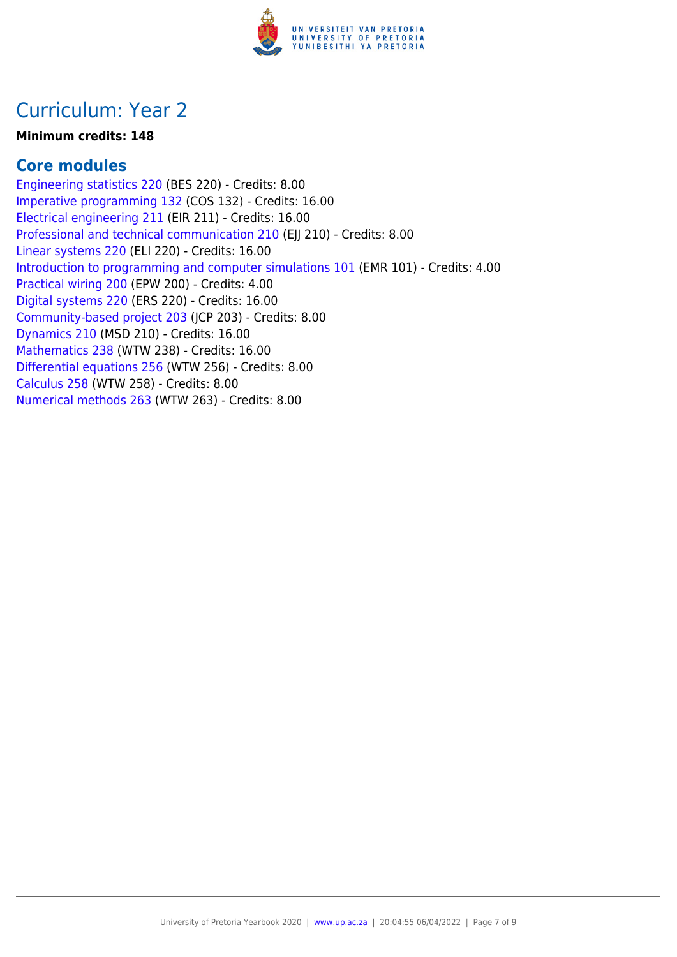

## Curriculum: Year 2

#### **Minimum credits: 148**

### **Core modules**

[Engineering statistics 220](https://www.up.ac.za/faculty-of-education/yearbooks/2020/modules/view/BES 220) (BES 220) - Credits: 8.00 [Imperative programming 132](https://www.up.ac.za/faculty-of-education/yearbooks/2020/modules/view/COS 132) (COS 132) - Credits: 16.00 [Electrical engineering 211](https://www.up.ac.za/faculty-of-education/yearbooks/2020/modules/view/EIR 211) (EIR 211) - Credits: 16.00 [Professional and technical communication 210](https://www.up.ac.za/faculty-of-education/yearbooks/2020/modules/view/EJJ 210) (EJJ 210) - Credits: 8.00 [Linear systems 220](https://www.up.ac.za/faculty-of-education/yearbooks/2020/modules/view/ELI 220) (ELI 220) - Credits: 16.00 [Introduction to programming and computer simulations 101](https://www.up.ac.za/faculty-of-education/yearbooks/2020/modules/view/EMR 101) (EMR 101) - Credits: 4.00 [Practical wiring 200](https://www.up.ac.za/faculty-of-education/yearbooks/2020/modules/view/EPW 200) (EPW 200) - Credits: 4.00 [Digital systems 220](https://www.up.ac.za/faculty-of-education/yearbooks/2020/modules/view/ERS 220) (ERS 220) - Credits: 16.00 [Community-based project 203](https://www.up.ac.za/faculty-of-education/yearbooks/2020/modules/view/JCP 203) (JCP 203) - Credits: 8.00 [Dynamics 210](https://www.up.ac.za/faculty-of-education/yearbooks/2020/modules/view/MSD 210) (MSD 210) - Credits: 16.00 [Mathematics 238](https://www.up.ac.za/faculty-of-education/yearbooks/2020/modules/view/WTW 238) (WTW 238) - Credits: 16.00 [Differential equations 256](https://www.up.ac.za/faculty-of-education/yearbooks/2020/modules/view/WTW 256) (WTW 256) - Credits: 8.00 [Calculus 258](https://www.up.ac.za/faculty-of-education/yearbooks/2020/modules/view/WTW 258) (WTW 258) - Credits: 8.00 [Numerical methods 263](https://www.up.ac.za/faculty-of-education/yearbooks/2020/modules/view/WTW 263) (WTW 263) - Credits: 8.00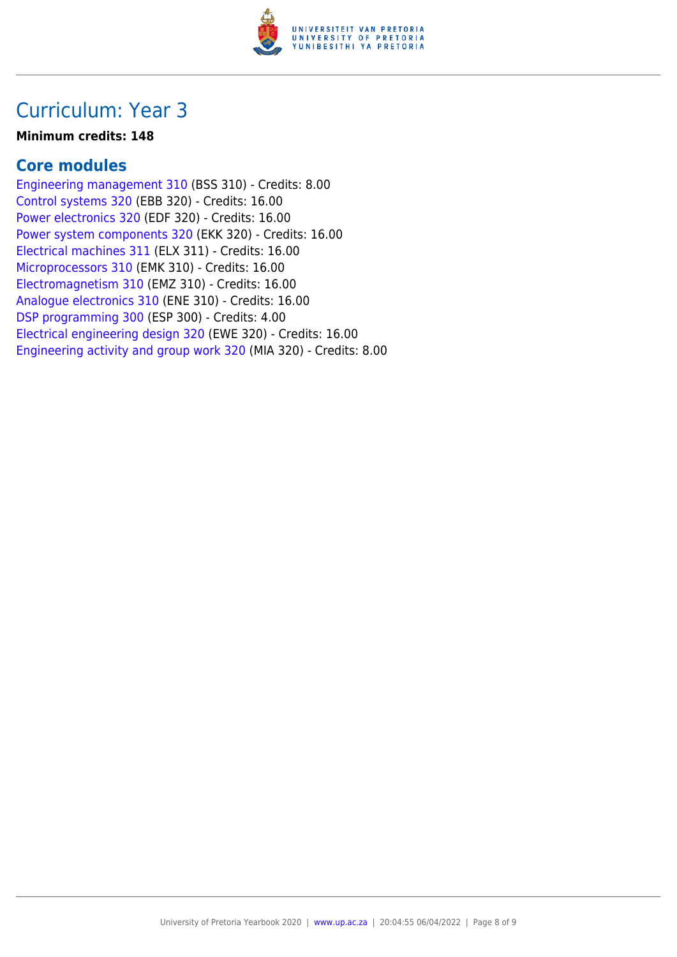

## Curriculum: Year 3

#### **Minimum credits: 148**

### **Core modules**

[Engineering management 310](https://www.up.ac.za/faculty-of-education/yearbooks/2020/modules/view/BSS 310) (BSS 310) - Credits: 8.00 [Control systems 320](https://www.up.ac.za/faculty-of-education/yearbooks/2020/modules/view/EBB 320) (EBB 320) - Credits: 16.00 [Power electronics 320](https://www.up.ac.za/faculty-of-education/yearbooks/2020/modules/view/EDF 320) (EDF 320) - Credits: 16.00 [Power system components 320](https://www.up.ac.za/faculty-of-education/yearbooks/2020/modules/view/EKK 320) (EKK 320) - Credits: 16.00 [Electrical machines 311](https://www.up.ac.za/faculty-of-education/yearbooks/2020/modules/view/ELX 311) (ELX 311) - Credits: 16.00 [Microprocessors 310](https://www.up.ac.za/faculty-of-education/yearbooks/2020/modules/view/EMK 310) (EMK 310) - Credits: 16.00 [Electromagnetism 310](https://www.up.ac.za/faculty-of-education/yearbooks/2020/modules/view/EMZ 310) (EMZ 310) - Credits: 16.00 [Analogue electronics 310](https://www.up.ac.za/faculty-of-education/yearbooks/2020/modules/view/ENE 310) (ENE 310) - Credits: 16.00 [DSP programming 300](https://www.up.ac.za/faculty-of-education/yearbooks/2020/modules/view/ESP 300) (ESP 300) - Credits: 4.00 [Electrical engineering design 320](https://www.up.ac.za/faculty-of-education/yearbooks/2020/modules/view/EWE 320) (EWE 320) - Credits: 16.00 [Engineering activity and group work 320](https://www.up.ac.za/faculty-of-education/yearbooks/2020/modules/view/MIA 320) (MIA 320) - Credits: 8.00